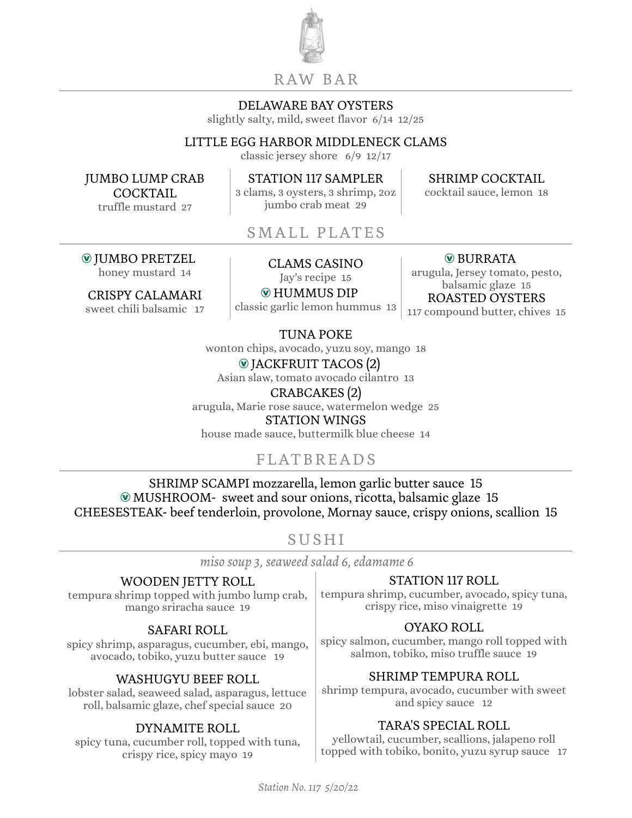

## R AW BA R

### DELAWARE BAY OYSTERS

slightly salty, mild, sweet flavor 6/14 12/25

## LITTLE EGG HARBOR MIDDLENECK CLAMS

classic jersey shore 6/9 12/17

JUMBO LUMP CRAB **COCKTAIL** truffle mustard 27

Æ JUMBO PRETZEL

CRISPY CALAMARI sweet chili balsamic 17

STATION 117 SAMPLER 3 clams, 3 oysters, 3 shrimp, 2oz jumbo crab meat 29

SHRIMP COCKTAIL

cocktail sauce, lemon 18

SMALL PLATES

UMBO PRETZEL<br>honey mustard 14 CLAMS CASINO

Jay's recipe 15

Æ HUMMUS DIP

classic garlic lemon hummus 13

 $@$  BURRATA

arugula, Jersey tomato, pesto, balsamic glaze 15 ROASTED OYSTERS 117 compound butter, chives 15

TUNA POKE

wonton chips, avocado, yuzu soy, mango 18  $\odot$  JACKFRUIT TACOS (2)

Asian slaw, tomato avocado cilantro 13

CRABCAKES (2) arugula, Marie rose sauce, watermelon wedge 25 STATION WINGS house made sauce, buttermilk blue cheese 14

# FLATBREADS

SHRIMP SCAMPI mozzarella, lemon garlic butter sauce 15 Æ MUSHROOM- sweet and sour onions, ricotta, balsamic glaze 15 CHEESESTEAK- beef tenderloin, provolone, Mornay sauce, crispy onions, scallion 15

## SUSHI

*miso soup 3, seaweed salad 6, edamame 6*

## WOODEN JETTY ROLL

tempura shrimp topped with jumbo lump crab, mango sriracha sauce 19

## SAFARI ROLL

spicy shrimp, asparagus, cucumber, ebi, mango, avocado, tobiko, yuzu butter sauce 19

## WASHUGYU BEEF ROLL

lobster salad, seaweed salad, asparagus, lettuce roll, balsamic glaze, chef special sauce 20

## DYNAMITE ROLL

spicy tuna, cucumber roll, topped with tuna, crispy rice, spicy mayo 19

## STATION 117 ROLL

tempura shrimp, cucumber, avocado, spicy tuna, crispy rice, miso vinaigrette 19

## OYAKO ROLL

spicy salmon, cucumber, mango roll topped with salmon, tobiko, miso truffle sauce 19

## SHRIMP TEMPURA ROLL

shrimp tempura, avocado, cucumber with sweet and spicy sauce 12

## TARA'S SPECIAL ROLL

yellowtail, cucumber, scallions, jalapeno roll topped with tobiko, bonito, yuzu syrup sauce 17